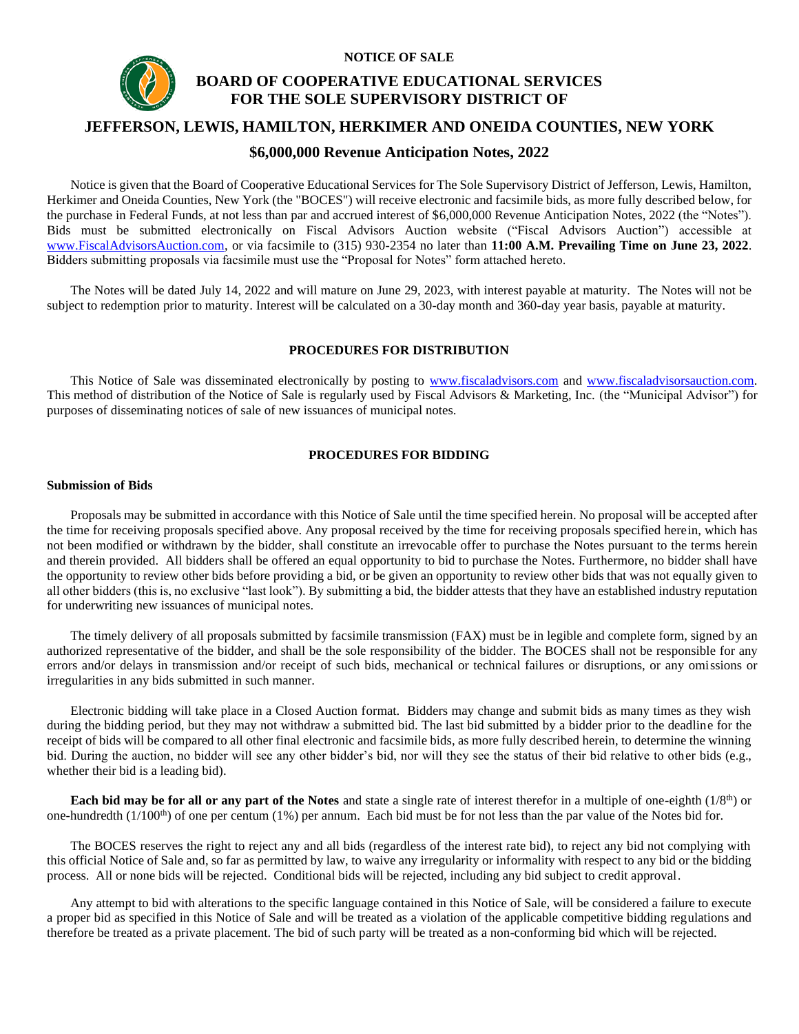

# **BOARD OF COOPERATIVE EDUCATIONAL SERVICES FOR THE SOLE SUPERVISORY DISTRICT OF**

## **JEFFERSON, LEWIS, HAMILTON, HERKIMER AND ONEIDA COUNTIES, NEW YORK**

**NOTICE OF SALE**

## **\$6,000,000 Revenue Anticipation Notes, 2022**

Notice is given that the Board of Cooperative Educational Services for The Sole Supervisory District of Jefferson, Lewis, Hamilton, Herkimer and Oneida Counties, New York (the "BOCES") will receive electronic and facsimile bids, as more fully described below, for the purchase in Federal Funds, at not less than par and accrued interest of \$6,000,000 Revenue Anticipation Notes, 2022 (the "Notes"). Bids must be submitted electronically on Fiscal Advisors Auction website ("Fiscal Advisors Auction") accessible at [www.FiscalAdvisorsAuction.com,](http://www.fiscaladvisorsauction.com/) or via facsimile to (315) 930-2354 no later than **11:00 A.M. Prevailing Time on June 23, 2022**. Bidders submitting proposals via facsimile must use the "Proposal for Notes" form attached hereto.

The Notes will be dated July 14, 2022 and will mature on June 29, 2023, with interest payable at maturity. The Notes will not be subject to redemption prior to maturity. Interest will be calculated on a 30-day month and 360-day year basis, payable at maturity.

## **PROCEDURES FOR DISTRIBUTION**

This Notice of Sale was disseminated electronically by posting to [www.fiscaladvisors.com](http://www.fiscaladvisors.com/) and [www.fiscaladvisorsauction.com.](http://www.fiscaladvisorsauction.com/) This method of distribution of the Notice of Sale is regularly used by Fiscal Advisors & Marketing, Inc. (the "Municipal Advisor") for purposes of disseminating notices of sale of new issuances of municipal notes.

## **PROCEDURES FOR BIDDING**

#### **Submission of Bids**

Proposals may be submitted in accordance with this Notice of Sale until the time specified herein. No proposal will be accepted after the time for receiving proposals specified above. Any proposal received by the time for receiving proposals specified herein, which has not been modified or withdrawn by the bidder, shall constitute an irrevocable offer to purchase the Notes pursuant to the terms herein and therein provided. All bidders shall be offered an equal opportunity to bid to purchase the Notes. Furthermore, no bidder shall have the opportunity to review other bids before providing a bid, or be given an opportunity to review other bids that was not equally given to all other bidders (this is, no exclusive "last look"). By submitting a bid, the bidder attests that they have an established industry reputation for underwriting new issuances of municipal notes.

The timely delivery of all proposals submitted by facsimile transmission (FAX) must be in legible and complete form, signed by an authorized representative of the bidder, and shall be the sole responsibility of the bidder. The BOCES shall not be responsible for any errors and/or delays in transmission and/or receipt of such bids, mechanical or technical failures or disruptions, or any omissions or irregularities in any bids submitted in such manner.

Electronic bidding will take place in a Closed Auction format. Bidders may change and submit bids as many times as they wish during the bidding period, but they may not withdraw a submitted bid. The last bid submitted by a bidder prior to the deadline for the receipt of bids will be compared to all other final electronic and facsimile bids, as more fully described herein, to determine the winning bid. During the auction, no bidder will see any other bidder's bid, nor will they see the status of their bid relative to other bids (e.g., whether their bid is a leading bid).

**Each bid may be for all or any part of the Notes** and state a single rate of interest therefor in a multiple of one-eighth (1/8<sup>th</sup>) or one-hundredth  $(1/100<sup>th</sup>)$  of one per centum (1%) per annum. Each bid must be for not less than the par value of the Notes bid for.

The BOCES reserves the right to reject any and all bids (regardless of the interest rate bid), to reject any bid not complying with this official Notice of Sale and, so far as permitted by law, to waive any irregularity or informality with respect to any bid or the bidding process. All or none bids will be rejected. Conditional bids will be rejected, including any bid subject to credit approval.

Any attempt to bid with alterations to the specific language contained in this Notice of Sale, will be considered a failure to execute a proper bid as specified in this Notice of Sale and will be treated as a violation of the applicable competitive bidding regulations and therefore be treated as a private placement. The bid of such party will be treated as a non-conforming bid which will be rejected.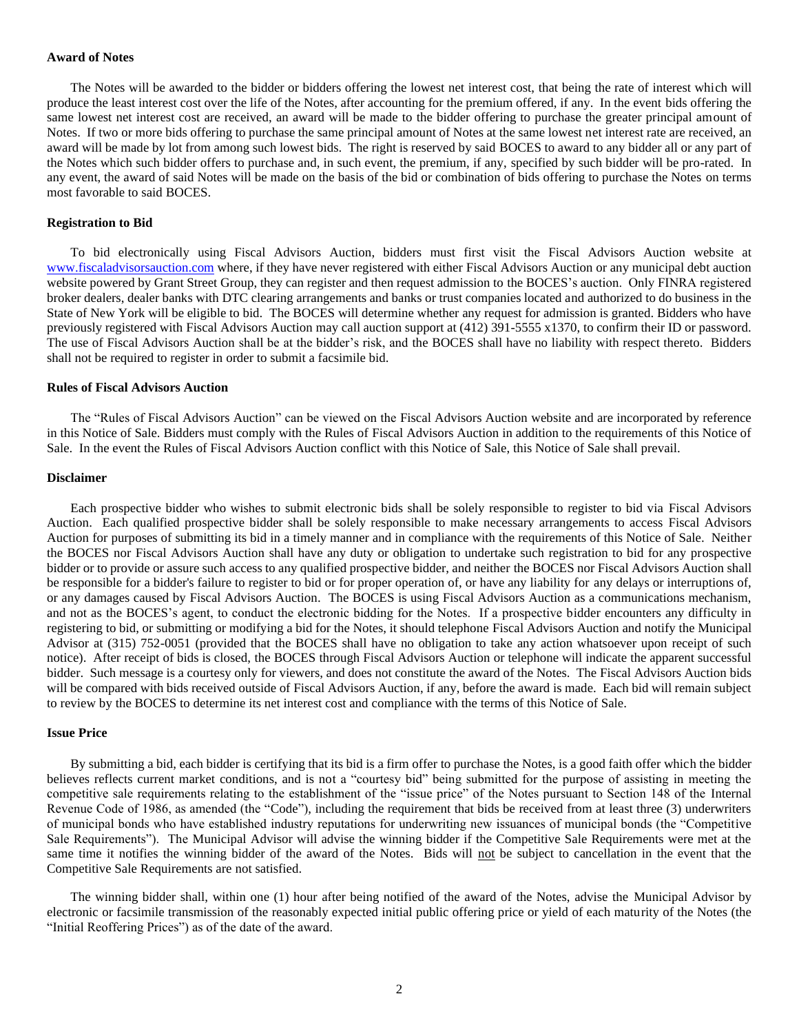### **Award of Notes**

The Notes will be awarded to the bidder or bidders offering the lowest net interest cost, that being the rate of interest which will produce the least interest cost over the life of the Notes, after accounting for the premium offered, if any. In the event bids offering the same lowest net interest cost are received, an award will be made to the bidder offering to purchase the greater principal amount of Notes. If two or more bids offering to purchase the same principal amount of Notes at the same lowest net interest rate are received, an award will be made by lot from among such lowest bids. The right is reserved by said BOCES to award to any bidder all or any part of the Notes which such bidder offers to purchase and, in such event, the premium, if any, specified by such bidder will be pro-rated. In any event, the award of said Notes will be made on the basis of the bid or combination of bids offering to purchase the Notes on terms most favorable to said BOCES.

#### **Registration to Bid**

To bid electronically using Fiscal Advisors Auction, bidders must first visit the Fiscal Advisors Auction website at [www.fiscaladvisorsauction.com](http://www.fiscaladvisorsauction.com/) where, if they have never registered with either Fiscal Advisors Auction or any municipal debt auction website powered by Grant Street Group, they can register and then request admission to the BOCES's auction. Only FINRA registered broker dealers, dealer banks with DTC clearing arrangements and banks or trust companies located and authorized to do business in the State of New York will be eligible to bid. The BOCES will determine whether any request for admission is granted. Bidders who have previously registered with Fiscal Advisors Auction may call auction support at (412) 391-5555 x1370, to confirm their ID or password. The use of Fiscal Advisors Auction shall be at the bidder's risk, and the BOCES shall have no liability with respect thereto. Bidders shall not be required to register in order to submit a facsimile bid.

#### **Rules of Fiscal Advisors Auction**

The "Rules of Fiscal Advisors Auction" can be viewed on the Fiscal Advisors Auction website and are incorporated by reference in this Notice of Sale. Bidders must comply with the Rules of Fiscal Advisors Auction in addition to the requirements of this Notice of Sale. In the event the Rules of Fiscal Advisors Auction conflict with this Notice of Sale, this Notice of Sale shall prevail.

#### **Disclaimer**

Each prospective bidder who wishes to submit electronic bids shall be solely responsible to register to bid via Fiscal Advisors Auction. Each qualified prospective bidder shall be solely responsible to make necessary arrangements to access Fiscal Advisors Auction for purposes of submitting its bid in a timely manner and in compliance with the requirements of this Notice of Sale. Neither the BOCES nor Fiscal Advisors Auction shall have any duty or obligation to undertake such registration to bid for any prospective bidder or to provide or assure such access to any qualified prospective bidder, and neither the BOCES nor Fiscal Advisors Auction shall be responsible for a bidder's failure to register to bid or for proper operation of, or have any liability for any delays or interruptions of, or any damages caused by Fiscal Advisors Auction. The BOCES is using Fiscal Advisors Auction as a communications mechanism, and not as the BOCES's agent, to conduct the electronic bidding for the Notes. If a prospective bidder encounters any difficulty in registering to bid, or submitting or modifying a bid for the Notes, it should telephone Fiscal Advisors Auction and notify the Municipal Advisor at (315) 752-0051 (provided that the BOCES shall have no obligation to take any action whatsoever upon receipt of such notice). After receipt of bids is closed, the BOCES through Fiscal Advisors Auction or telephone will indicate the apparent successful bidder. Such message is a courtesy only for viewers, and does not constitute the award of the Notes. The Fiscal Advisors Auction bids will be compared with bids received outside of Fiscal Advisors Auction, if any, before the award is made. Each bid will remain subject to review by the BOCES to determine its net interest cost and compliance with the terms of this Notice of Sale.

#### **Issue Price**

By submitting a bid, each bidder is certifying that its bid is a firm offer to purchase the Notes, is a good faith offer which the bidder believes reflects current market conditions, and is not a "courtesy bid" being submitted for the purpose of assisting in meeting the competitive sale requirements relating to the establishment of the "issue price" of the Notes pursuant to Section 148 of the Internal Revenue Code of 1986, as amended (the "Code"), including the requirement that bids be received from at least three (3) underwriters of municipal bonds who have established industry reputations for underwriting new issuances of municipal bonds (the "Competitive Sale Requirements"). The Municipal Advisor will advise the winning bidder if the Competitive Sale Requirements were met at the same time it notifies the winning bidder of the award of the Notes. Bids will not be subject to cancellation in the event that the Competitive Sale Requirements are not satisfied.

The winning bidder shall, within one (1) hour after being notified of the award of the Notes, advise the Municipal Advisor by electronic or facsimile transmission of the reasonably expected initial public offering price or yield of each maturity of the Notes (the "Initial Reoffering Prices") as of the date of the award.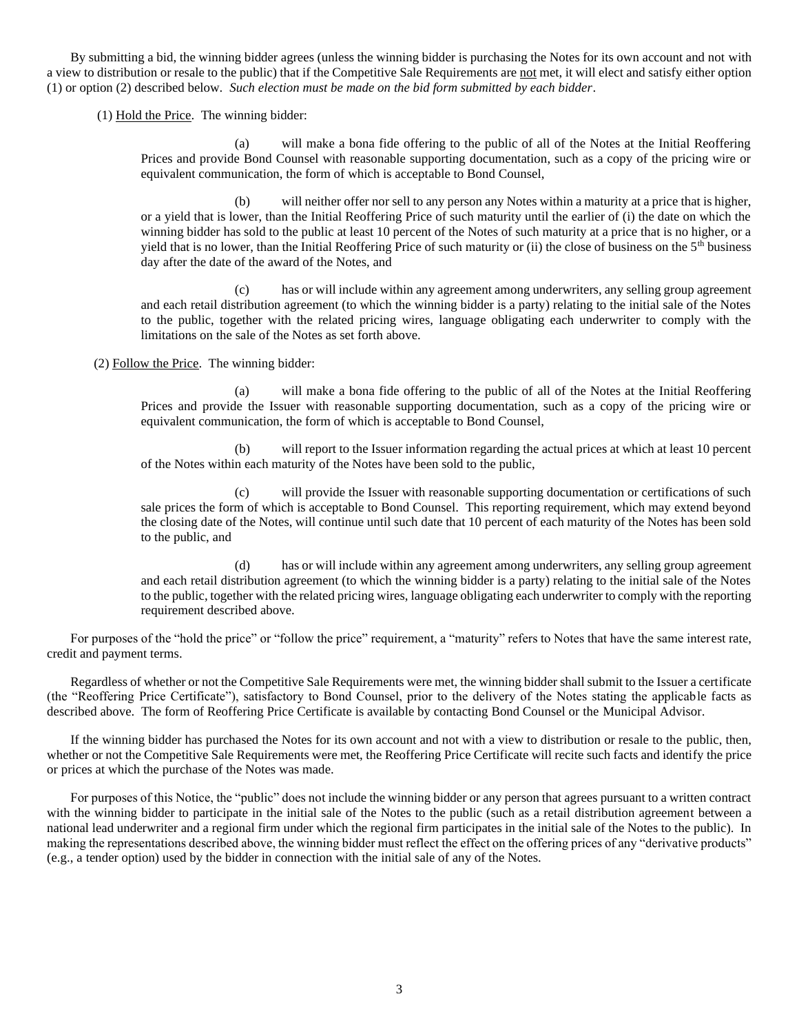By submitting a bid, the winning bidder agrees (unless the winning bidder is purchasing the Notes for its own account and not with a view to distribution or resale to the public) that if the Competitive Sale Requirements are not met, it will elect and satisfy either option (1) or option (2) described below. *Such election must be made on the bid form submitted by each bidder*.

(1) Hold the Price. The winning bidder:

(a) will make a bona fide offering to the public of all of the Notes at the Initial Reoffering Prices and provide Bond Counsel with reasonable supporting documentation, such as a copy of the pricing wire or equivalent communication, the form of which is acceptable to Bond Counsel,

(b) will neither offer nor sell to any person any Notes within a maturity at a price that is higher, or a yield that is lower, than the Initial Reoffering Price of such maturity until the earlier of (i) the date on which the winning bidder has sold to the public at least 10 percent of the Notes of such maturity at a price that is no higher, or a yield that is no lower, than the Initial Reoffering Price of such maturity or (ii) the close of business on the  $5<sup>th</sup>$  business day after the date of the award of the Notes, and

(c) has or will include within any agreement among underwriters, any selling group agreement and each retail distribution agreement (to which the winning bidder is a party) relating to the initial sale of the Notes to the public, together with the related pricing wires, language obligating each underwriter to comply with the limitations on the sale of the Notes as set forth above.

(2) Follow the Price. The winning bidder:

(a) will make a bona fide offering to the public of all of the Notes at the Initial Reoffering Prices and provide the Issuer with reasonable supporting documentation, such as a copy of the pricing wire or equivalent communication, the form of which is acceptable to Bond Counsel,

(b) will report to the Issuer information regarding the actual prices at which at least 10 percent of the Notes within each maturity of the Notes have been sold to the public,

(c) will provide the Issuer with reasonable supporting documentation or certifications of such sale prices the form of which is acceptable to Bond Counsel. This reporting requirement, which may extend beyond the closing date of the Notes, will continue until such date that 10 percent of each maturity of the Notes has been sold to the public, and

(d) has or will include within any agreement among underwriters, any selling group agreement and each retail distribution agreement (to which the winning bidder is a party) relating to the initial sale of the Notes to the public, together with the related pricing wires, language obligating each underwriter to comply with the reporting requirement described above.

For purposes of the "hold the price" or "follow the price" requirement, a "maturity" refers to Notes that have the same interest rate, credit and payment terms.

Regardless of whether or not the Competitive Sale Requirements were met, the winning bidder shall submit to the Issuer a certificate (the "Reoffering Price Certificate"), satisfactory to Bond Counsel, prior to the delivery of the Notes stating the applicable facts as described above. The form of Reoffering Price Certificate is available by contacting Bond Counsel or the Municipal Advisor.

If the winning bidder has purchased the Notes for its own account and not with a view to distribution or resale to the public, then, whether or not the Competitive Sale Requirements were met, the Reoffering Price Certificate will recite such facts and identify the price or prices at which the purchase of the Notes was made.

For purposes of this Notice, the "public" does not include the winning bidder or any person that agrees pursuant to a written contract with the winning bidder to participate in the initial sale of the Notes to the public (such as a retail distribution agreement between a national lead underwriter and a regional firm under which the regional firm participates in the initial sale of the Notes to the public). In making the representations described above, the winning bidder must reflect the effect on the offering prices of any "derivative products" (e.g., a tender option) used by the bidder in connection with the initial sale of any of the Notes.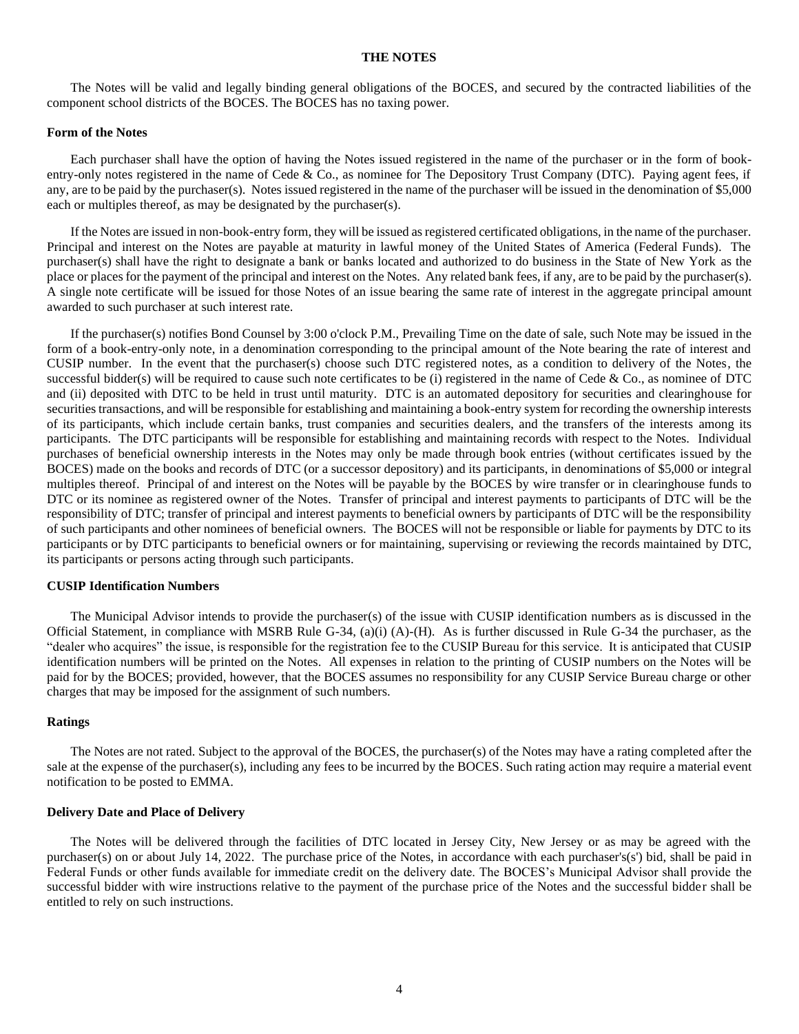## **THE NOTES**

The Notes will be valid and legally binding general obligations of the BOCES, and secured by the contracted liabilities of the component school districts of the BOCES. The BOCES has no taxing power.

#### **Form of the Notes**

Each purchaser shall have the option of having the Notes issued registered in the name of the purchaser or in the form of bookentry-only notes registered in the name of Cede & Co., as nominee for The Depository Trust Company (DTC). Paying agent fees, if any, are to be paid by the purchaser(s). Notes issued registered in the name of the purchaser will be issued in the denomination of \$5,000 each or multiples thereof, as may be designated by the purchaser(s).

If the Notes are issued in non-book-entry form, they will be issued as registered certificated obligations, in the name of the purchaser. Principal and interest on the Notes are payable at maturity in lawful money of the United States of America (Federal Funds). The purchaser(s) shall have the right to designate a bank or banks located and authorized to do business in the State of New York as the place or places for the payment of the principal and interest on the Notes. Any related bank fees, if any, are to be paid by the purchaser(s). A single note certificate will be issued for those Notes of an issue bearing the same rate of interest in the aggregate principal amount awarded to such purchaser at such interest rate.

If the purchaser(s) notifies Bond Counsel by 3:00 o'clock P.M., Prevailing Time on the date of sale, such Note may be issued in the form of a book-entry-only note, in a denomination corresponding to the principal amount of the Note bearing the rate of interest and CUSIP number. In the event that the purchaser(s) choose such DTC registered notes, as a condition to delivery of the Notes, the successful bidder(s) will be required to cause such note certificates to be (i) registered in the name of Cede & Co., as nominee of DTC and (ii) deposited with DTC to be held in trust until maturity. DTC is an automated depository for securities and clearinghouse for securities transactions, and will be responsible for establishing and maintaining a book-entry system for recording the ownership interests of its participants, which include certain banks, trust companies and securities dealers, and the transfers of the interests among its participants. The DTC participants will be responsible for establishing and maintaining records with respect to the Notes. Individual purchases of beneficial ownership interests in the Notes may only be made through book entries (without certificates issued by the BOCES) made on the books and records of DTC (or a successor depository) and its participants, in denominations of \$5,000 or integral multiples thereof. Principal of and interest on the Notes will be payable by the BOCES by wire transfer or in clearinghouse funds to DTC or its nominee as registered owner of the Notes. Transfer of principal and interest payments to participants of DTC will be the responsibility of DTC; transfer of principal and interest payments to beneficial owners by participants of DTC will be the responsibility of such participants and other nominees of beneficial owners. The BOCES will not be responsible or liable for payments by DTC to its participants or by DTC participants to beneficial owners or for maintaining, supervising or reviewing the records maintained by DTC, its participants or persons acting through such participants.

### **CUSIP Identification Numbers**

The Municipal Advisor intends to provide the purchaser(s) of the issue with CUSIP identification numbers as is discussed in the Official Statement, in compliance with MSRB Rule G-34, (a)(i) (A)-(H). As is further discussed in Rule G-34 the purchaser, as the "dealer who acquires" the issue, is responsible for the registration fee to the CUSIP Bureau for this service. It is anticipated that CUSIP identification numbers will be printed on the Notes. All expenses in relation to the printing of CUSIP numbers on the Notes will be paid for by the BOCES; provided, however, that the BOCES assumes no responsibility for any CUSIP Service Bureau charge or other charges that may be imposed for the assignment of such numbers.

#### **Ratings**

The Notes are not rated. Subject to the approval of the BOCES, the purchaser(s) of the Notes may have a rating completed after the sale at the expense of the purchaser(s), including any fees to be incurred by the BOCES. Such rating action may require a material event notification to be posted to EMMA.

### **Delivery Date and Place of Delivery**

The Notes will be delivered through the facilities of DTC located in Jersey City, New Jersey or as may be agreed with the purchaser(s) on or about July 14, 2022. The purchase price of the Notes, in accordance with each purchaser's(s') bid, shall be paid in Federal Funds or other funds available for immediate credit on the delivery date. The BOCES's Municipal Advisor shall provide the successful bidder with wire instructions relative to the payment of the purchase price of the Notes and the successful bidder shall be entitled to rely on such instructions.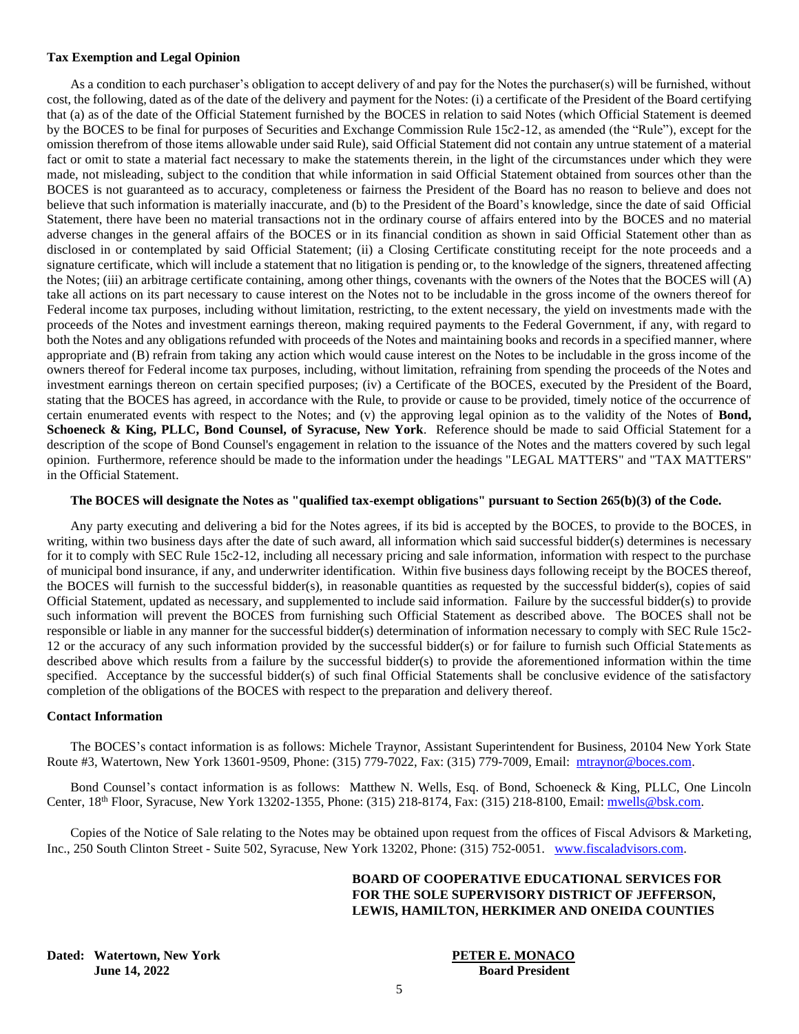## **Tax Exemption and Legal Opinion**

As a condition to each purchaser's obligation to accept delivery of and pay for the Notes the purchaser(s) will be furnished, without cost, the following, dated as of the date of the delivery and payment for the Notes: (i) a certificate of the President of the Board certifying that (a) as of the date of the Official Statement furnished by the BOCES in relation to said Notes (which Official Statement is deemed by the BOCES to be final for purposes of Securities and Exchange Commission Rule 15c2-12, as amended (the "Rule"), except for the omission therefrom of those items allowable under said Rule), said Official Statement did not contain any untrue statement of a material fact or omit to state a material fact necessary to make the statements therein, in the light of the circumstances under which they were made, not misleading, subject to the condition that while information in said Official Statement obtained from sources other than the BOCES is not guaranteed as to accuracy, completeness or fairness the President of the Board has no reason to believe and does not believe that such information is materially inaccurate, and (b) to the President of the Board's knowledge, since the date of said Official Statement, there have been no material transactions not in the ordinary course of affairs entered into by the BOCES and no material adverse changes in the general affairs of the BOCES or in its financial condition as shown in said Official Statement other than as disclosed in or contemplated by said Official Statement; (ii) a Closing Certificate constituting receipt for the note proceeds and a signature certificate, which will include a statement that no litigation is pending or, to the knowledge of the signers, threatened affecting the Notes; (iii) an arbitrage certificate containing, among other things, covenants with the owners of the Notes that the BOCES will (A) take all actions on its part necessary to cause interest on the Notes not to be includable in the gross income of the owners thereof for Federal income tax purposes, including without limitation, restricting, to the extent necessary, the yield on investments made with the proceeds of the Notes and investment earnings thereon, making required payments to the Federal Government, if any, with regard to both the Notes and any obligations refunded with proceeds of the Notes and maintaining books and records in a specified manner, where appropriate and (B) refrain from taking any action which would cause interest on the Notes to be includable in the gross income of the owners thereof for Federal income tax purposes, including, without limitation, refraining from spending the proceeds of the Notes and investment earnings thereon on certain specified purposes; (iv) a Certificate of the BOCES, executed by the President of the Board, stating that the BOCES has agreed, in accordance with the Rule, to provide or cause to be provided, timely notice of the occurrence of certain enumerated events with respect to the Notes; and (v) the approving legal opinion as to the validity of the Notes of **Bond, Schoeneck & King, PLLC, Bond Counsel, of Syracuse, New York**. Reference should be made to said Official Statement for a description of the scope of Bond Counsel's engagement in relation to the issuance of the Notes and the matters covered by such legal opinion. Furthermore, reference should be made to the information under the headings "LEGAL MATTERS" and "TAX MATTERS" in the Official Statement.

## **The BOCES will designate the Notes as "qualified tax-exempt obligations" pursuant to Section 265(b)(3) of the Code.**

Any party executing and delivering a bid for the Notes agrees, if its bid is accepted by the BOCES, to provide to the BOCES, in writing, within two business days after the date of such award, all information which said successful bidder(s) determines is necessary for it to comply with SEC Rule 15c2-12, including all necessary pricing and sale information, information with respect to the purchase of municipal bond insurance, if any, and underwriter identification. Within five business days following receipt by the BOCES thereof, the BOCES will furnish to the successful bidder(s), in reasonable quantities as requested by the successful bidder(s), copies of said Official Statement, updated as necessary, and supplemented to include said information. Failure by the successful bidder(s) to provide such information will prevent the BOCES from furnishing such Official Statement as described above. The BOCES shall not be responsible or liable in any manner for the successful bidder(s) determination of information necessary to comply with SEC Rule 15c2- 12 or the accuracy of any such information provided by the successful bidder(s) or for failure to furnish such Official Statements as described above which results from a failure by the successful bidder(s) to provide the aforementioned information within the time specified. Acceptance by the successful bidder(s) of such final Official Statements shall be conclusive evidence of the satisfactory completion of the obligations of the BOCES with respect to the preparation and delivery thereof.

## **Contact Information**

The BOCES's contact information is as follows: Michele Traynor, Assistant Superintendent for Business, 20104 New York State Route #3, Watertown, New York 13601-9509, Phone: (315) 779-7022, Fax: (315) 779-7009, Email: [mtraynor@boces.com.](mailto:mtraynor@boces.com)

Bond Counsel's contact information is as follows: Matthew N. Wells, Esq. of Bond, Schoeneck & King, PLLC, One Lincoln Center, 18th Floor, Syracuse, New York 13202-1355, Phone: (315) 218-8174, Fax: (315) 218-8100, Email: [mwells@bsk.com.](mailto:mwells@bsk.com)

Copies of the Notice of Sale relating to the Notes may be obtained upon request from the offices of Fiscal Advisors & Marketing, Inc., 250 South Clinton Street - Suite 502, Syracuse, New York 13202, Phone: (315) 752-0051. [www.fiscaladvisors.com.](http://www.fiscaladvisors.com/)

## **BOARD OF COOPERATIVE EDUCATIONAL SERVICES FOR FOR THE SOLE SUPERVISORY DISTRICT OF JEFFERSON, LEWIS, HAMILTON, HERKIMER AND ONEIDA COUNTIES**

**Dated: Watertown, New York PETER E. MONACO June 14, 2022 Board President**